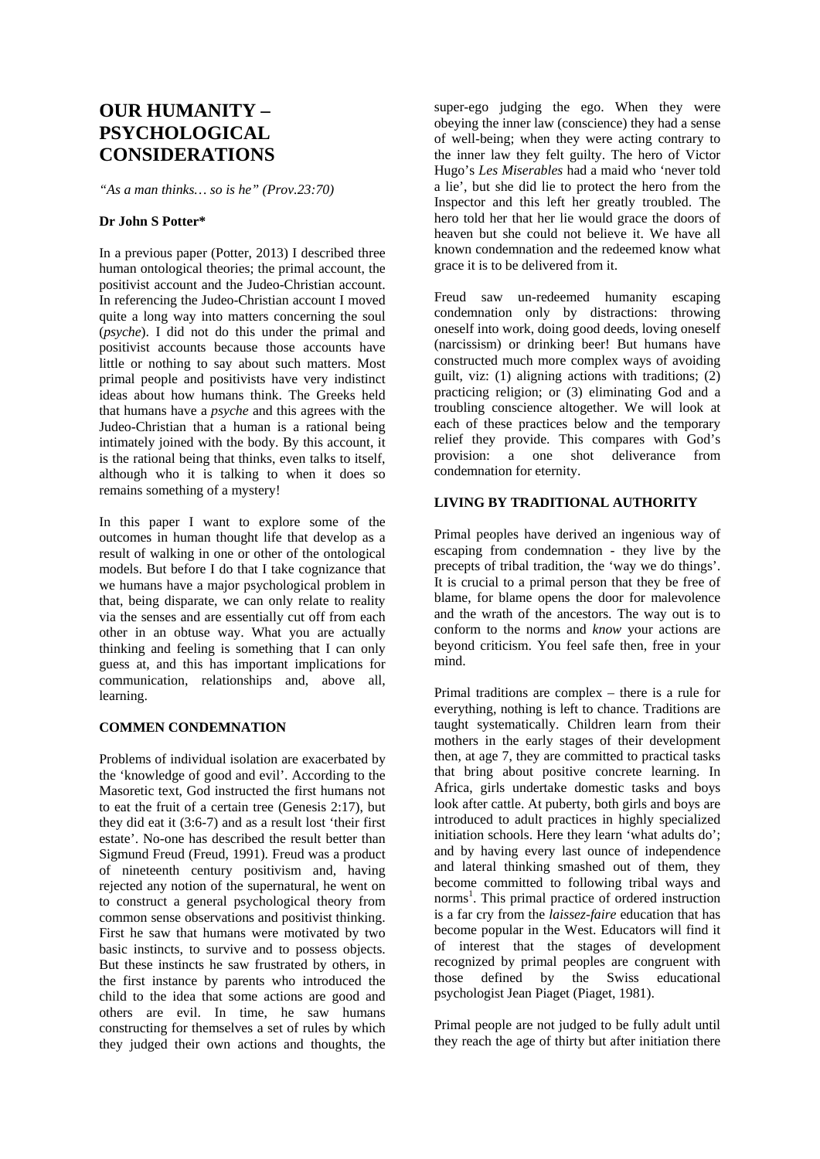# **OUR HUMANITY – PSYCHOLOGICAL CONSIDERATIONS**

*"As a man thinks… so is he" (Prov.23:70)* 

## **Dr John S Potter\***

In a previous paper (Potter, 2013) I described three human ontological theories; the primal account, the positivist account and the Judeo-Christian account. In referencing the Judeo-Christian account I moved quite a long way into matters concerning the soul (*psyche*). I did not do this under the primal and positivist accounts because those accounts have little or nothing to say about such matters. Most primal people and positivists have very indistinct ideas about how humans think. The Greeks held that humans have a *psyche* and this agrees with the Judeo-Christian that a human is a rational being intimately joined with the body. By this account, it is the rational being that thinks, even talks to itself, although who it is talking to when it does so remains something of a mystery!

In this paper I want to explore some of the outcomes in human thought life that develop as a result of walking in one or other of the ontological models. But before I do that I take cognizance that we humans have a major psychological problem in that, being disparate, we can only relate to reality via the senses and are essentially cut off from each other in an obtuse way. What you are actually thinking and feeling is something that I can only guess at, and this has important implications for communication, relationships and, above all, learning.

## **COMMEN CONDEMNATION**

Problems of individual isolation are exacerbated by the 'knowledge of good and evil'. According to the Masoretic text, God instructed the first humans not to eat the fruit of a certain tree (Genesis 2:17), but they did eat it (3:6-7) and as a result lost 'their first estate'. No-one has described the result better than Sigmund Freud (Freud, 1991). Freud was a product of nineteenth century positivism and, having rejected any notion of the supernatural, he went on to construct a general psychological theory from common sense observations and positivist thinking. First he saw that humans were motivated by two basic instincts, to survive and to possess objects. But these instincts he saw frustrated by others, in the first instance by parents who introduced the child to the idea that some actions are good and others are evil. In time, he saw humans constructing for themselves a set of rules by which they judged their own actions and thoughts, the

super-ego judging the ego. When they were obeying the inner law (conscience) they had a sense of well-being; when they were acting contrary to the inner law they felt guilty. The hero of Victor Hugo's *Les Miserables* had a maid who 'never told a lie', but she did lie to protect the hero from the Inspector and this left her greatly troubled. The hero told her that her lie would grace the doors of heaven but she could not believe it. We have all known condemnation and the redeemed know what grace it is to be delivered from it.

Freud saw un-redeemed humanity escaping condemnation only by distractions: throwing oneself into work, doing good deeds, loving oneself (narcissism) or drinking beer! But humans have constructed much more complex ways of avoiding guilt, viz: (1) aligning actions with traditions; (2) practicing religion; or (3) eliminating God and a troubling conscience altogether. We will look at each of these practices below and the temporary relief they provide. This compares with God's provision: a one shot deliverance from condemnation for eternity.

# **LIVING BY TRADITIONAL AUTHORITY**

Primal peoples have derived an ingenious way of escaping from condemnation - they live by the precepts of tribal tradition, the 'way we do things'. It is crucial to a primal person that they be free of blame, for blame opens the door for malevolence and the wrath of the ancestors. The way out is to conform to the norms and *know* your actions are beyond criticism. You feel safe then, free in your mind.

Primal traditions are complex – there is a rule for everything, nothing is left to chance. Traditions are taught systematically. Children learn from their mothers in the early stages of their development then, at age 7, they are committed to practical tasks that bring about positive concrete learning. In Africa, girls undertake domestic tasks and boys look after cattle. At puberty, both girls and boys are introduced to adult practices in highly specialized initiation schools. Here they learn 'what adults do'; and by having every last ounce of independence and lateral thinking smashed out of them, they become committed to following tribal ways and norms<sup>1</sup>. This primal practice of ordered instruction is a far cry from the *laissez-faire* education that has become popular in the West. Educators will find it of interest that the stages of development recognized by primal peoples are congruent with those defined by the Swiss educational psychologist Jean Piaget (Piaget, 1981).

Primal people are not judged to be fully adult until they reach the age of thirty but after initiation there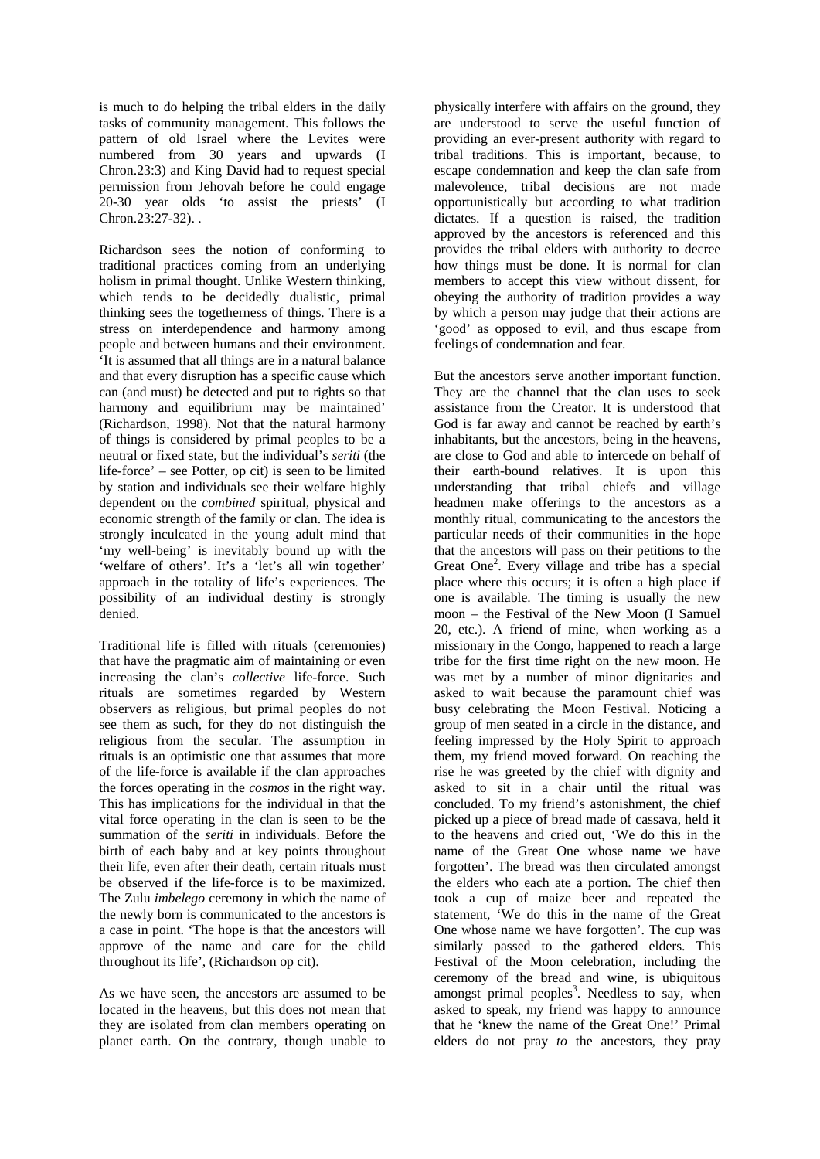is much to do helping the tribal elders in the daily tasks of community management. This follows the pattern of old Israel where the Levites were numbered from 30 years and upwards (I Chron.23:3) and King David had to request special permission from Jehovah before he could engage 20-30 year olds 'to assist the priests' (I  $Chron.23:27-32$ ).

Richardson sees the notion of conforming to traditional practices coming from an underlying holism in primal thought. Unlike Western thinking, which tends to be decidedly dualistic, primal thinking sees the togetherness of things. There is a stress on interdependence and harmony among people and between humans and their environment. 'It is assumed that all things are in a natural balance and that every disruption has a specific cause which can (and must) be detected and put to rights so that harmony and equilibrium may be maintained' (Richardson, 1998). Not that the natural harmony of things is considered by primal peoples to be a neutral or fixed state, but the individual's *seriti* (the life-force' – see Potter, op cit) is seen to be limited by station and individuals see their welfare highly dependent on the *combined* spiritual, physical and economic strength of the family or clan. The idea is strongly inculcated in the young adult mind that 'my well-being' is inevitably bound up with the 'welfare of others'. It's a 'let's all win together' approach in the totality of life's experiences. The possibility of an individual destiny is strongly denied.

Traditional life is filled with rituals (ceremonies) that have the pragmatic aim of maintaining or even increasing the clan's *collective* life-force. Such rituals are sometimes regarded by Western observers as religious, but primal peoples do not see them as such, for they do not distinguish the religious from the secular. The assumption in rituals is an optimistic one that assumes that more of the life-force is available if the clan approaches the forces operating in the *cosmos* in the right way. This has implications for the individual in that the vital force operating in the clan is seen to be the summation of the *seriti* in individuals. Before the birth of each baby and at key points throughout their life, even after their death, certain rituals must be observed if the life-force is to be maximized. The Zulu *imbelego* ceremony in which the name of the newly born is communicated to the ancestors is a case in point. 'The hope is that the ancestors will approve of the name and care for the child throughout its life', (Richardson op cit).

As we have seen, the ancestors are assumed to be located in the heavens, but this does not mean that they are isolated from clan members operating on planet earth. On the contrary, though unable to

physically interfere with affairs on the ground, they are understood to serve the useful function of providing an ever-present authority with regard to tribal traditions. This is important, because, to escape condemnation and keep the clan safe from malevolence, tribal decisions are not made opportunistically but according to what tradition dictates. If a question is raised, the tradition approved by the ancestors is referenced and this provides the tribal elders with authority to decree how things must be done. It is normal for clan members to accept this view without dissent, for obeying the authority of tradition provides a way by which a person may judge that their actions are 'good' as opposed to evil, and thus escape from feelings of condemnation and fear.

But the ancestors serve another important function. They are the channel that the clan uses to seek assistance from the Creator. It is understood that God is far away and cannot be reached by earth's inhabitants, but the ancestors, being in the heavens, are close to God and able to intercede on behalf of their earth-bound relatives. It is upon this understanding that tribal chiefs and village headmen make offerings to the ancestors as a monthly ritual, communicating to the ancestors the particular needs of their communities in the hope that the ancestors will pass on their petitions to the Great One2 . Every village and tribe has a special place where this occurs; it is often a high place if one is available. The timing is usually the new moon – the Festival of the New Moon (I Samuel 20, etc.). A friend of mine, when working as a missionary in the Congo, happened to reach a large tribe for the first time right on the new moon. He was met by a number of minor dignitaries and asked to wait because the paramount chief was busy celebrating the Moon Festival. Noticing a group of men seated in a circle in the distance, and feeling impressed by the Holy Spirit to approach them, my friend moved forward. On reaching the rise he was greeted by the chief with dignity and asked to sit in a chair until the ritual was concluded. To my friend's astonishment, the chief picked up a piece of bread made of cassava, held it to the heavens and cried out, 'We do this in the name of the Great One whose name we have forgotten'. The bread was then circulated amongst the elders who each ate a portion. The chief then took a cup of maize beer and repeated the statement, 'We do this in the name of the Great One whose name we have forgotten'. The cup was similarly passed to the gathered elders. This Festival of the Moon celebration, including the ceremony of the bread and wine, is ubiquitous amongst primal peoples<sup>3</sup>. Needless to say, when asked to speak, my friend was happy to announce that he 'knew the name of the Great One!' Primal elders do not pray *to* the ancestors, they pray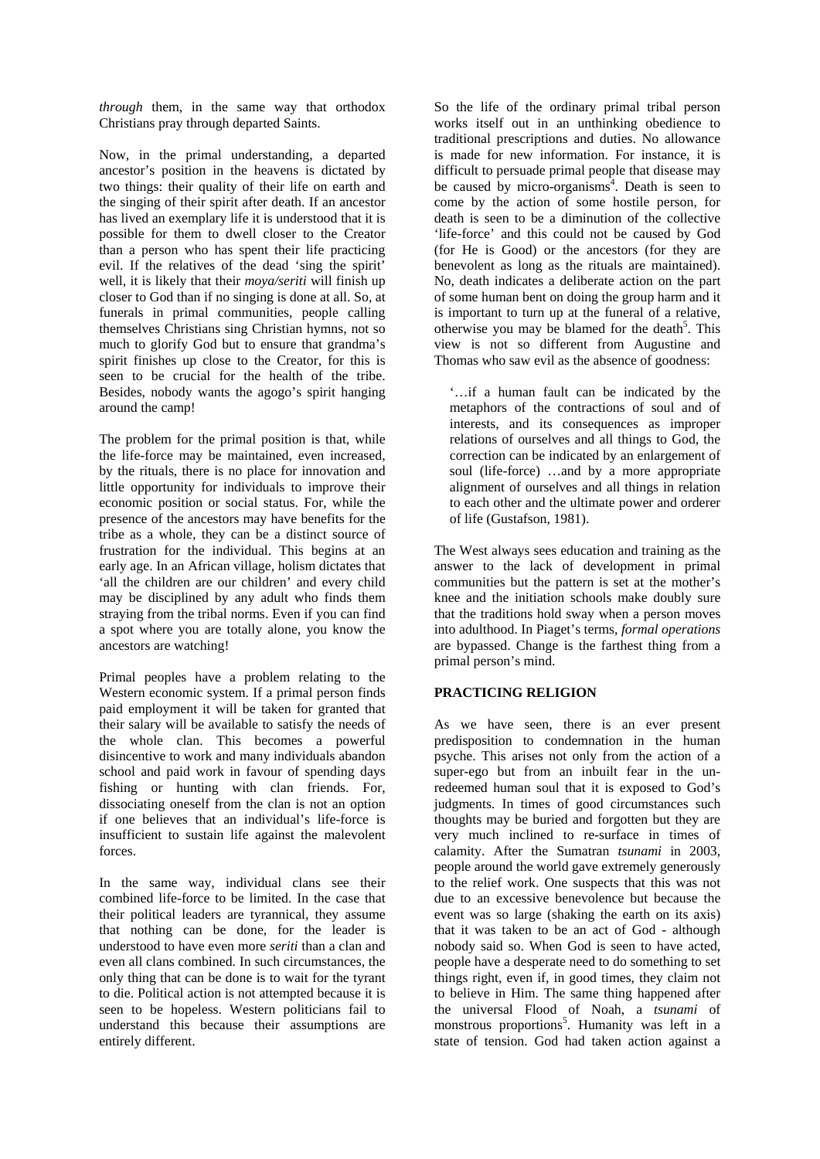*through* them, in the same way that orthodox Christians pray through departed Saints.

Now, in the primal understanding, a departed ancestor's position in the heavens is dictated by two things: their quality of their life on earth and the singing of their spirit after death. If an ancestor has lived an exemplary life it is understood that it is possible for them to dwell closer to the Creator than a person who has spent their life practicing evil. If the relatives of the dead 'sing the spirit' well, it is likely that their *moya/seriti* will finish up closer to God than if no singing is done at all. So, at funerals in primal communities, people calling themselves Christians sing Christian hymns, not so much to glorify God but to ensure that grandma's spirit finishes up close to the Creator, for this is seen to be crucial for the health of the tribe. Besides, nobody wants the agogo's spirit hanging around the camp!

The problem for the primal position is that, while the life-force may be maintained, even increased, by the rituals, there is no place for innovation and little opportunity for individuals to improve their economic position or social status. For, while the presence of the ancestors may have benefits for the tribe as a whole, they can be a distinct source of frustration for the individual. This begins at an early age. In an African village, holism dictates that 'all the children are our children' and every child may be disciplined by any adult who finds them straying from the tribal norms. Even if you can find a spot where you are totally alone, you know the ancestors are watching!

Primal peoples have a problem relating to the Western economic system. If a primal person finds paid employment it will be taken for granted that their salary will be available to satisfy the needs of the whole clan. This becomes a powerful disincentive to work and many individuals abandon school and paid work in favour of spending days fishing or hunting with clan friends. For, dissociating oneself from the clan is not an option if one believes that an individual's life-force is insufficient to sustain life against the malevolent forces.

In the same way, individual clans see their combined life-force to be limited. In the case that their political leaders are tyrannical, they assume that nothing can be done, for the leader is understood to have even more *seriti* than a clan and even all clans combined. In such circumstances, the only thing that can be done is to wait for the tyrant to die. Political action is not attempted because it is seen to be hopeless. Western politicians fail to understand this because their assumptions are entirely different.

So the life of the ordinary primal tribal person works itself out in an unthinking obedience to traditional prescriptions and duties. No allowance is made for new information. For instance, it is difficult to persuade primal people that disease may be caused by micro-organisms<sup>4</sup>. Death is seen to come by the action of some hostile person, for death is seen to be a diminution of the collective 'life-force' and this could not be caused by God (for He is Good) or the ancestors (for they are benevolent as long as the rituals are maintained). No, death indicates a deliberate action on the part of some human bent on doing the group harm and it is important to turn up at the funeral of a relative, otherwise you may be blamed for the death<sup>5</sup>. This view is not so different from Augustine and Thomas who saw evil as the absence of goodness:

'…if a human fault can be indicated by the metaphors of the contractions of soul and of interests, and its consequences as improper relations of ourselves and all things to God, the correction can be indicated by an enlargement of soul (life-force) …and by a more appropriate alignment of ourselves and all things in relation to each other and the ultimate power and orderer of life (Gustafson, 1981).

The West always sees education and training as the answer to the lack of development in primal communities but the pattern is set at the mother's knee and the initiation schools make doubly sure that the traditions hold sway when a person moves into adulthood. In Piaget's terms, *formal operations* are bypassed. Change is the farthest thing from a primal person's mind.

## **PRACTICING RELIGION**

As we have seen, there is an ever present predisposition to condemnation in the human psyche. This arises not only from the action of a super-ego but from an inbuilt fear in the unredeemed human soul that it is exposed to God's judgments. In times of good circumstances such thoughts may be buried and forgotten but they are very much inclined to re-surface in times of calamity. After the Sumatran *tsunami* in 2003, people around the world gave extremely generously to the relief work. One suspects that this was not due to an excessive benevolence but because the event was so large (shaking the earth on its axis) that it was taken to be an act of God - although nobody said so. When God is seen to have acted, people have a desperate need to do something to set things right, even if, in good times, they claim not to believe in Him. The same thing happened after the universal Flood of Noah, a *tsunami* of monstrous proportions<sup>5</sup>. Humanity was left in a state of tension. God had taken action against a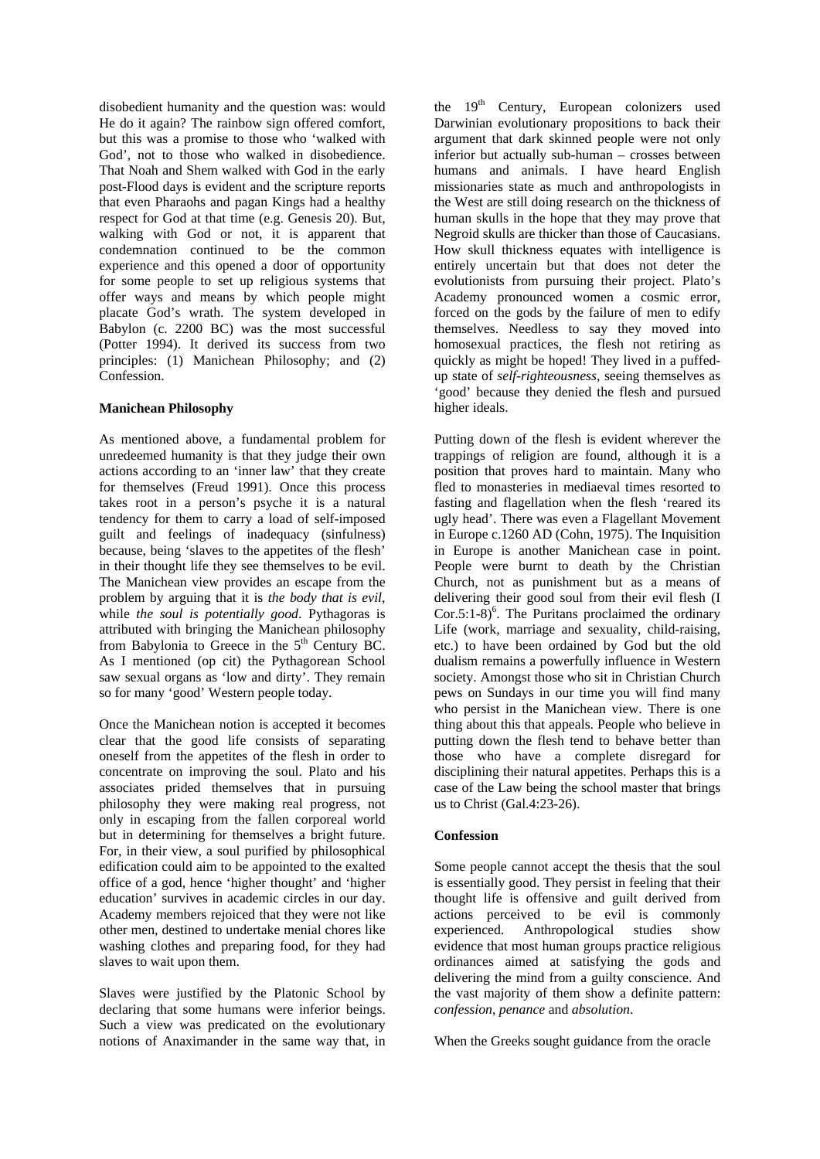disobedient humanity and the question was: would He do it again? The rainbow sign offered comfort, but this was a promise to those who 'walked with God', not to those who walked in disobedience. That Noah and Shem walked with God in the early post-Flood days is evident and the scripture reports that even Pharaohs and pagan Kings had a healthy respect for God at that time (e.g. Genesis 20). But, walking with God or not, it is apparent that condemnation continued to be the common experience and this opened a door of opportunity for some people to set up religious systems that offer ways and means by which people might placate God's wrath. The system developed in Babylon (c. 2200 BC) was the most successful (Potter 1994). It derived its success from two principles: (1) Manichean Philosophy; and (2) Confession.

## **Manichean Philosophy**

As mentioned above, a fundamental problem for unredeemed humanity is that they judge their own actions according to an 'inner law' that they create for themselves (Freud 1991). Once this process takes root in a person's psyche it is a natural tendency for them to carry a load of self-imposed guilt and feelings of inadequacy (sinfulness) because, being 'slaves to the appetites of the flesh' in their thought life they see themselves to be evil. The Manichean view provides an escape from the problem by arguing that it is *the body that is evil*, while *the soul is potentially good*. Pythagoras is attributed with bringing the Manichean philosophy from Babylonia to Greece in the  $5<sup>th</sup>$  Century BC. As I mentioned (op cit) the Pythagorean School saw sexual organs as 'low and dirty'. They remain so for many 'good' Western people today.

Once the Manichean notion is accepted it becomes clear that the good life consists of separating oneself from the appetites of the flesh in order to concentrate on improving the soul. Plato and his associates prided themselves that in pursuing philosophy they were making real progress, not only in escaping from the fallen corporeal world but in determining for themselves a bright future. For, in their view, a soul purified by philosophical edification could aim to be appointed to the exalted office of a god, hence 'higher thought' and 'higher education' survives in academic circles in our day. Academy members rejoiced that they were not like other men, destined to undertake menial chores like washing clothes and preparing food, for they had slaves to wait upon them.

Slaves were justified by the Platonic School by declaring that some humans were inferior beings. Such a view was predicated on the evolutionary notions of Anaximander in the same way that, in

the  $19<sup>th</sup>$  Century, European colonizers used Darwinian evolutionary propositions to back their argument that dark skinned people were not only inferior but actually sub-human – crosses between humans and animals. I have heard English missionaries state as much and anthropologists in the West are still doing research on the thickness of human skulls in the hope that they may prove that Negroid skulls are thicker than those of Caucasians. How skull thickness equates with intelligence is entirely uncertain but that does not deter the evolutionists from pursuing their project. Plato's Academy pronounced women a cosmic error, forced on the gods by the failure of men to edify themselves. Needless to say they moved into homosexual practices, the flesh not retiring as quickly as might be hoped! They lived in a puffedup state of *self-righteousness*, seeing themselves as 'good' because they denied the flesh and pursued higher ideals.

Putting down of the flesh is evident wherever the trappings of religion are found, although it is a position that proves hard to maintain. Many who fled to monasteries in mediaeval times resorted to fasting and flagellation when the flesh 'reared its ugly head'. There was even a Flagellant Movement in Europe c.1260 AD (Cohn, 1975). The Inquisition in Europe is another Manichean case in point. People were burnt to death by the Christian Church, not as punishment but as a means of delivering their good soul from their evil flesh (I Cor.5:1-8 $)^6$ . The Puritans proclaimed the ordinary Life (work, marriage and sexuality, child-raising, etc.) to have been ordained by God but the old dualism remains a powerfully influence in Western society. Amongst those who sit in Christian Church pews on Sundays in our time you will find many who persist in the Manichean view. There is one thing about this that appeals. People who believe in putting down the flesh tend to behave better than those who have a complete disregard for disciplining their natural appetites. Perhaps this is a case of the Law being the school master that brings us to Christ (Gal.4:23-26).

# **Confession**

Some people cannot accept the thesis that the soul is essentially good. They persist in feeling that their thought life is offensive and guilt derived from actions perceived to be evil is commonly experienced. Anthropological studies show evidence that most human groups practice religious ordinances aimed at satisfying the gods and delivering the mind from a guilty conscience. And the vast majority of them show a definite pattern: *confession*, *penance* and *absolution*.

When the Greeks sought guidance from the oracle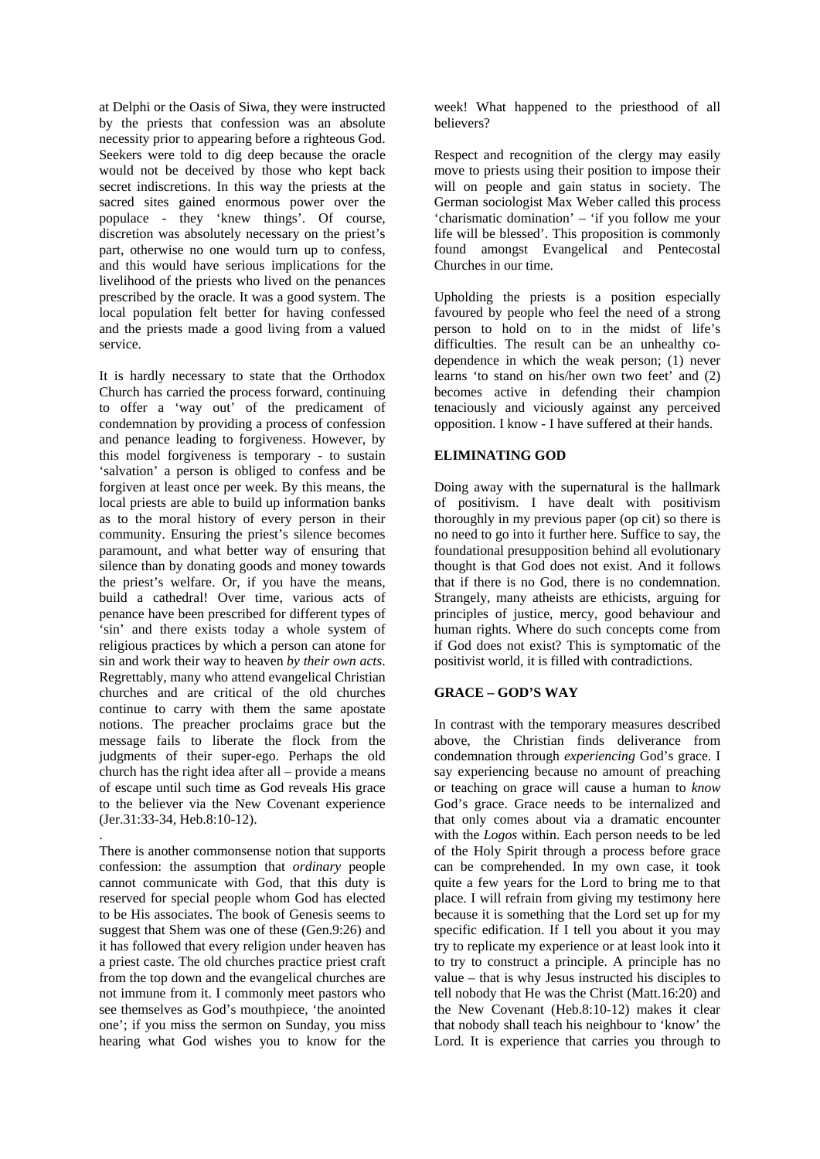at Delphi or the Oasis of Siwa, they were instructed by the priests that confession was an absolute necessity prior to appearing before a righteous God. Seekers were told to dig deep because the oracle would not be deceived by those who kept back secret indiscretions. In this way the priests at the sacred sites gained enormous power over the populace - they 'knew things'. Of course, discretion was absolutely necessary on the priest's part, otherwise no one would turn up to confess, and this would have serious implications for the livelihood of the priests who lived on the penances prescribed by the oracle. It was a good system. The local population felt better for having confessed and the priests made a good living from a valued service.

It is hardly necessary to state that the Orthodox Church has carried the process forward, continuing to offer a 'way out' of the predicament of condemnation by providing a process of confession and penance leading to forgiveness. However, by this model forgiveness is temporary - to sustain 'salvation' a person is obliged to confess and be forgiven at least once per week. By this means, the local priests are able to build up information banks as to the moral history of every person in their community. Ensuring the priest's silence becomes paramount, and what better way of ensuring that silence than by donating goods and money towards the priest's welfare. Or, if you have the means, build a cathedral! Over time, various acts of penance have been prescribed for different types of 'sin' and there exists today a whole system of religious practices by which a person can atone for sin and work their way to heaven *by their own acts*. Regrettably, many who attend evangelical Christian churches and are critical of the old churches continue to carry with them the same apostate notions. The preacher proclaims grace but the message fails to liberate the flock from the judgments of their super-ego. Perhaps the old church has the right idea after all – provide a means of escape until such time as God reveals His grace to the believer via the New Covenant experience (Jer.31:33-34, Heb.8:10-12).

There is another commonsense notion that supports confession: the assumption that *ordinary* people cannot communicate with God, that this duty is reserved for special people whom God has elected to be His associates. The book of Genesis seems to suggest that Shem was one of these (Gen.9:26) and it has followed that every religion under heaven has a priest caste. The old churches practice priest craft from the top down and the evangelical churches are not immune from it. I commonly meet pastors who see themselves as God's mouthpiece, 'the anointed one'; if you miss the sermon on Sunday, you miss hearing what God wishes you to know for the

.

week! What happened to the priesthood of all believers?

Respect and recognition of the clergy may easily move to priests using their position to impose their will on people and gain status in society. The German sociologist Max Weber called this process 'charismatic domination' – 'if you follow me your life will be blessed'. This proposition is commonly found amongst Evangelical and Pentecostal Churches in our time.

Upholding the priests is a position especially favoured by people who feel the need of a strong person to hold on to in the midst of life's difficulties. The result can be an unhealthy codependence in which the weak person; (1) never learns 'to stand on his/her own two feet' and (2) becomes active in defending their champion tenaciously and viciously against any perceived opposition. I know - I have suffered at their hands.

## **ELIMINATING GOD**

Doing away with the supernatural is the hallmark of positivism. I have dealt with positivism thoroughly in my previous paper (op cit) so there is no need to go into it further here. Suffice to say, the foundational presupposition behind all evolutionary thought is that God does not exist. And it follows that if there is no God, there is no condemnation. Strangely, many atheists are ethicists, arguing for principles of justice, mercy, good behaviour and human rights. Where do such concepts come from if God does not exist? This is symptomatic of the positivist world, it is filled with contradictions.

## **GRACE – GOD'S WAY**

In contrast with the temporary measures described above, the Christian finds deliverance from condemnation through *experiencing* God's grace. I say experiencing because no amount of preaching or teaching on grace will cause a human to *know* God's grace. Grace needs to be internalized and that only comes about via a dramatic encounter with the *Logos* within. Each person needs to be led of the Holy Spirit through a process before grace can be comprehended. In my own case, it took quite a few years for the Lord to bring me to that place. I will refrain from giving my testimony here because it is something that the Lord set up for my specific edification. If I tell you about it you may try to replicate my experience or at least look into it to try to construct a principle. A principle has no value – that is why Jesus instructed his disciples to tell nobody that He was the Christ (Matt.16:20) and the New Covenant (Heb.8:10-12) makes it clear that nobody shall teach his neighbour to 'know' the Lord. It is experience that carries you through to